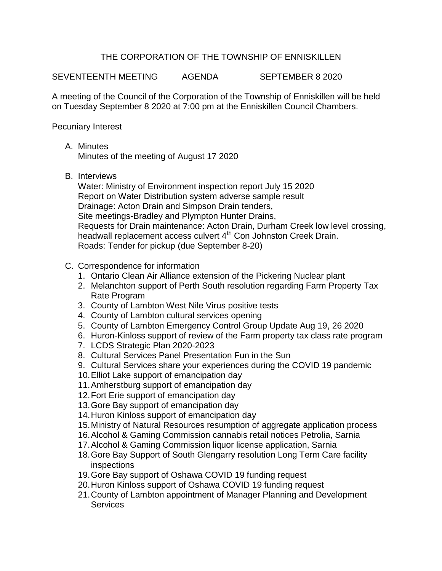## THE CORPORATION OF THE TOWNSHIP OF ENNISKILLEN

SEVENTEENTH MEETING AGENDA SEPTEMBER 8 2020

A meeting of the Council of the Corporation of the Township of Enniskillen will be held on Tuesday September 8 2020 at 7:00 pm at the Enniskillen Council Chambers.

Pecuniary Interest

A. Minutes

Minutes of the meeting of August 17 2020

B. Interviews

Water: Ministry of Environment inspection report July 15 2020 Report on Water Distribution system adverse sample result Drainage: Acton Drain and Simpson Drain tenders, Site meetings-Bradley and Plympton Hunter Drains, Requests for Drain maintenance: Acton Drain, Durham Creek low level crossing, headwall replacement access culvert 4<sup>th</sup> Con Johnston Creek Drain. Roads: Tender for pickup (due September 8-20)

- C. Correspondence for information
	- 1. Ontario Clean Air Alliance extension of the Pickering Nuclear plant
	- 2. Melanchton support of Perth South resolution regarding Farm Property Tax Rate Program
	- 3. County of Lambton West Nile Virus positive tests
	- 4. County of Lambton cultural services opening
	- 5. County of Lambton Emergency Control Group Update Aug 19, 26 2020
	- 6. Huron-Kinloss support of review of the Farm property tax class rate program
	- 7. LCDS Strategic Plan 2020-2023
	- 8. Cultural Services Panel Presentation Fun in the Sun
	- 9. Cultural Services share your experiences during the COVID 19 pandemic
	- 10.Elliot Lake support of emancipation day
	- 11.Amherstburg support of emancipation day
	- 12.Fort Erie support of emancipation day
	- 13.Gore Bay support of emancipation day
	- 14.Huron Kinloss support of emancipation day
	- 15.Ministry of Natural Resources resumption of aggregate application process
	- 16.Alcohol & Gaming Commission cannabis retail notices Petrolia, Sarnia
	- 17.Alcohol & Gaming Commission liquor license application, Sarnia
	- 18.Gore Bay Support of South Glengarry resolution Long Term Care facility inspections
	- 19.Gore Bay support of Oshawa COVID 19 funding request
	- 20.Huron Kinloss support of Oshawa COVID 19 funding request
	- 21.County of Lambton appointment of Manager Planning and Development **Services**